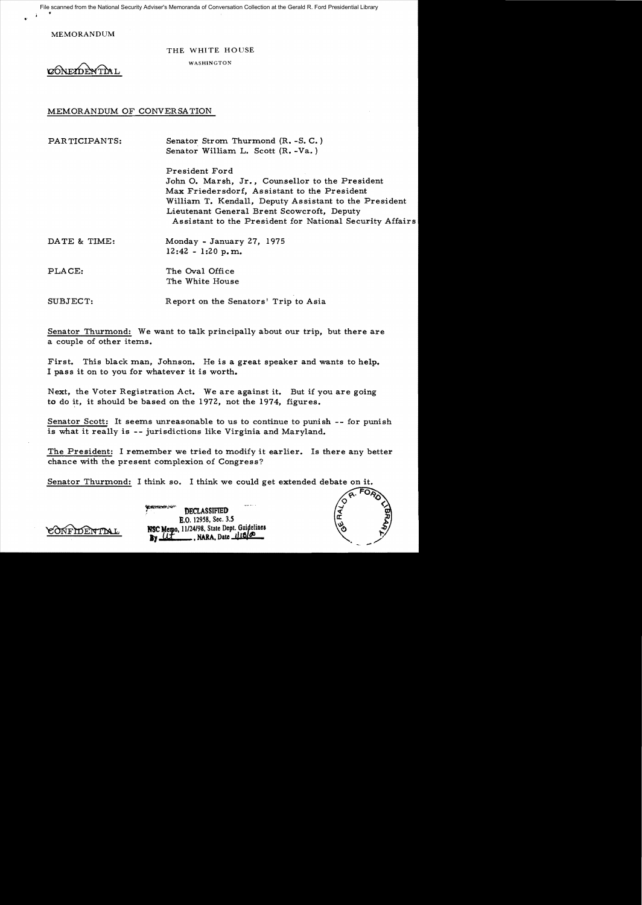File scanned from the National Security Adviser's Memoranda of Conversation Collection at the Gerald R. Ford Presidential Library

MEMORANDUM

THE WHITE HOUSE

THE WHITE HO

MEMORANDUM OF CONVERSATION

PARTICIPANTS: Senator Strom Thurmond (R. -S. C.) Senator William L. Scott (R. -Va. ) President Ford John O. Marsh, Jr., Counsellor to the President Max Friedersdorf, Assistant to the President William T. Kendall, Deputy Assistant to the President Lieutenant General Brent Scowcroft, Deputy Assistant to the President for National Security Affairs DATE & TIME: Monday - January 27, 1975 12:42 - 1:20 p.m.

PLACE: The Oval Office The White House

SUBJECT: Report on the Senators' Trip to Asia

Senator Thurmond: We want to talk principally about our trip, but there are a couple of other items.

First. This black man, Johnson. He is a great speaker and wants to help. I pass it on to you for whatever it is worth.

Next, the Voter Registration Act. We are against it. But if you are going to do it, it should be based on the 1972, not the 1974, figures.

Senator Scott: It seems unreasonable to us to continue to punish -- for punish is what it really is -- jurisdictions like Virginia and Maryland.

The President: I remember we tried to modify it earlier. Is there any better chance with the present complexion of Congress?

Senator Thurmond: I think so. I think we could get extended debate on it.

DECLASSIFIED B.O. *129S8,* Sec. *3.S*  Memo, 11/24/98, State Dept. Guidelines **., NARA, Date 118/00** 

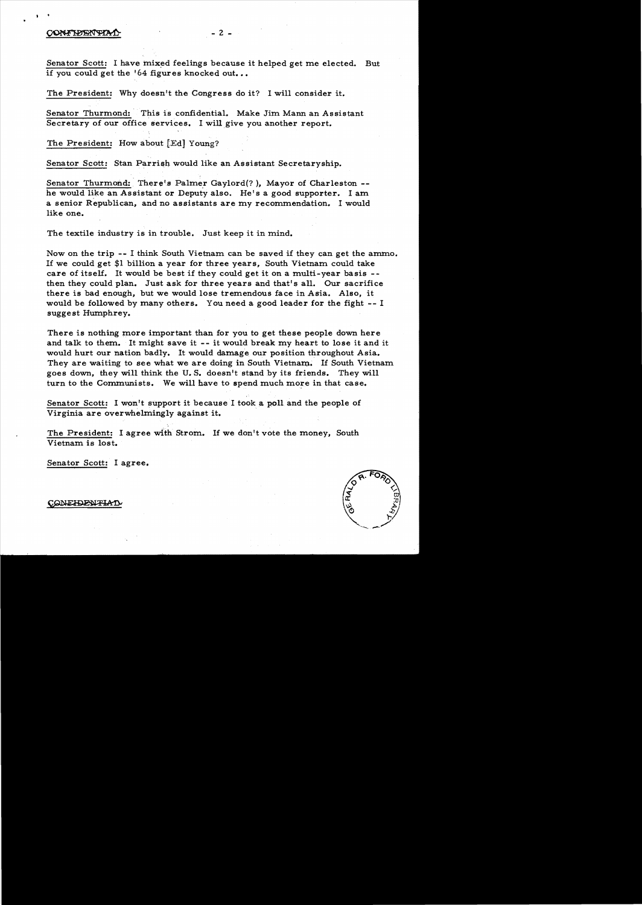## CONFIDENTIA

Senator Scott: I have mixed feelings because it helped get me elected. But if you could get the '64 figures knocked out...

The President: Why doesn't the Congress do it? I will consider it.

Senator Thurmond: This is confidential. Make Jim Mann an Assistant Secretary of our office services. I willgive you another report.

The President: How about [Ed] Young?

Senator Scott: Stan Parrish would like an Assistant Secretaryship.

Senator Thurmond: There's Palmer Gaylord(?), Mayor of Charleston -he would like an Assistant or Deputy also. He's a good supporter. I am a senior Republican, and no assistants are my recommendation. I would like one.

The textile industry is in trouble. Just keep it in mind.

Now on the trip -- I think South Vietnam can be saved if they can get the ammo. If we could get \$1 billion a year for three years, South Vietnam could take care of itself. It would be best if they could get it on a multi-year basis then they could plan. Just ask for three years and that's all. Our sacrifice there is bad enough, but we would lose tremendous face in Asia. Also, it would be followed by many others. You need a good leader for the fight -- I suggest Humphrey.

There is nothing more important than for you to get these people down here and talk to them. It might save it -- it would break my heart to lose it and it would hurt our nation badly. It would damage our position throughout Asia. They are waiting to see what we are doing in South Vietnam. If South Vietnam goes down, they will think the U. S. doesn't stand by its friends. They will turn to the Communists. We will have to spend much more in that case.

Senator Scott: I won't support it because I took a polland the people of Virginia are overwhelmingly against it.

The President: I agree with Strom. If we don't vote the money, South Vietnam is lost.

Senator Scott: I agree.

### CONFIDENTIA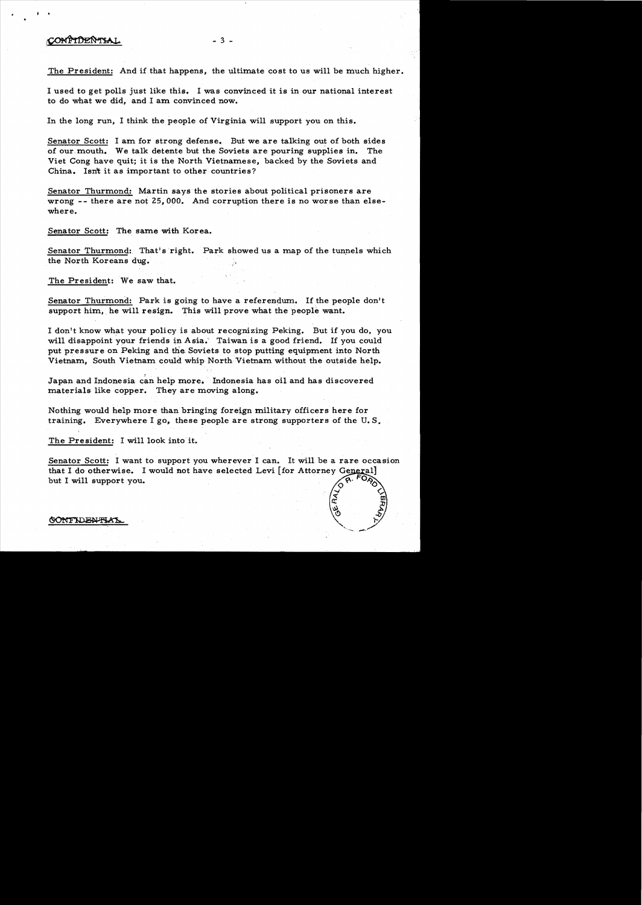# CONFIDENTIAL

The President: And if that happens, the ultimate cost to us will be much higher.

 $-3 -$ 

I used to get polls just like this. I was convinced it is in our national interest to do what we did, and I am convinced now.

In the long run, I think the people of Virginia will support you on this.

Senator Scott: I am for strong defense. But we are talking out of both sides of our, mouth. We talk detente but the Soviets are pouring supplies in. The Viet Cong have quit; it is the North Vietnamese, backed by the Soviets and China. Isn't it as important to other countries?

Senator Thurmond,: Martin says the stories about political prisoners are wrong -- there are not 25,000. And corruption there is no worse than elsewhere.

Senator Scott: The same with Korea.

Senator Thurmond: That's right. Park showed us a map of the tunnels which the North Koreans dug.

The President: We saw that.

Senator Thurmond: Park is going to have a referendum. If the people don't support him, he will resign. This will prove what the people want.

I don't know what your policy is about recognizing Peking. But if you do, you will disappoint your friends in Asia. Taiwan is a good friend. If you could put pressure on Peking and the Soviets to stop putting equipment into North Vietnam, South Vietnam could whip North Vietnam without the outside help.

Japan and Indonesia can help more. ' Indonesia has oil and has discovered materials like copper. They are moving along.

Nothing would help more than bringing foreign military officers here for training. Everywhere I go, these people are strong supporters of the U. S.

The President: I will look into it.

Senator Scott: I want to support you wherever I can. It will be a rare occasion that I do otherwise. I would not have selected Levi [for Attorney General] but I will support you.

GONFIDENTIAL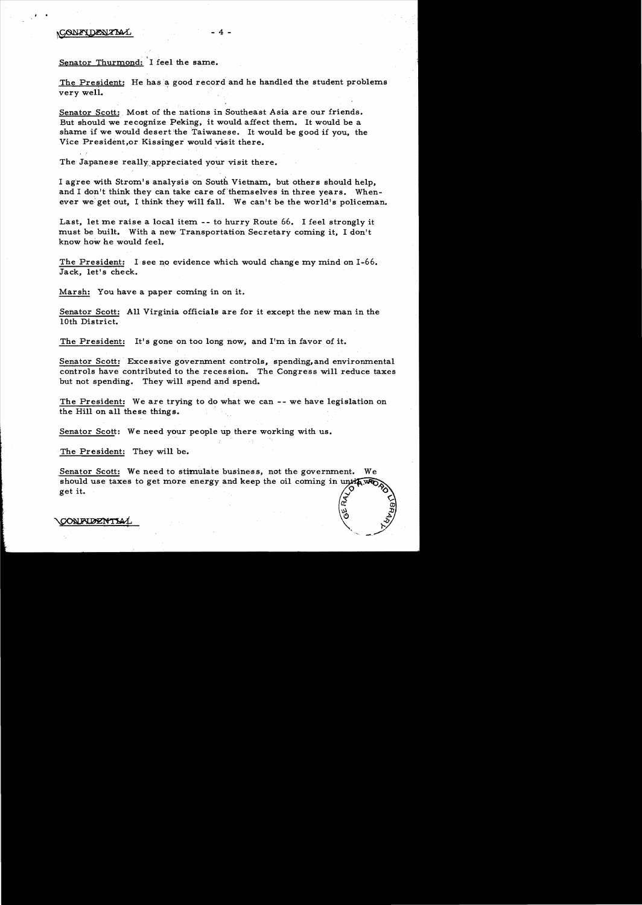, .

Senator Thurmond: 'I feel the same.

The President: He has a good record and he handled the student problems very well.

 $-4-$ 

Senator Scott: Most of the nations in Southeast Asia are our friends. But should we recognize Peking, it would, affect them. It would be a shame if we would desert'the Taiwanese. It would be good if you, the Vice President, or Kissinger would visit there.

The Japanese really appreciated your visit there.

1 agree with Strom's analysis on South Vietnam, but others should help, and I don't think they can take care of themselves in three years. Whenever we: get out, 1 think they will fall. We can't be the world's policeman.

Last, let me raise a local item - - to hurry Route 66. I feel strongly it must be built. With a new Transportation Secretary coming it, 1 don't know how he would feel.

The President: I see no evidence which would change my mind on  $I-66$ . Jack, let's check.

Marsh: You have a paper coming in on it.

Senator Scott: All Virginia officials are for it except the new man in the 10th District.

The President: It's gone on too long now, and I'm in favor of it.

Senator Scott: Excessive government controls, spending, and environmental controls have contributed to the recession. The Congress will reduce taxes but not spending. They will spend and spend.

The President: We are trying to do what we can -- we have legislation on the Hill on all these things. .

Senator Scott: We need your people up there working with us.

The President: They will be.

Senator Scott: We need to stimulate business, not the government.  $\mathbf{W}\mathbf{e}$ should use taxes to get more energy and keep the oil coming in until we get it.

**CONFUDENTIA**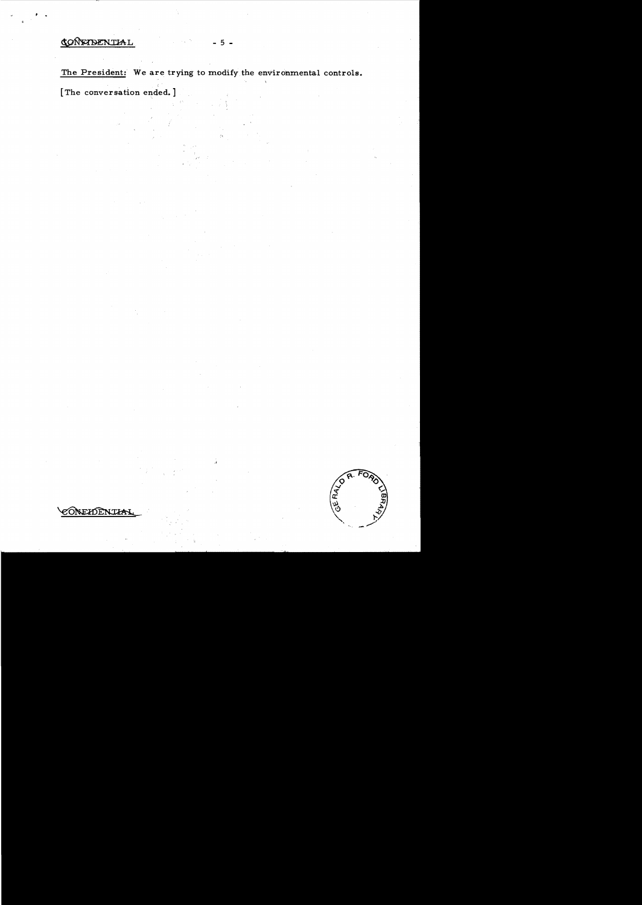# CONFIDENTIAL

, .

The President: We are trying to modify the environmental controls.

 $-5 -$ 

[The conversation ended.]

GERALD

CONEIDENTIAI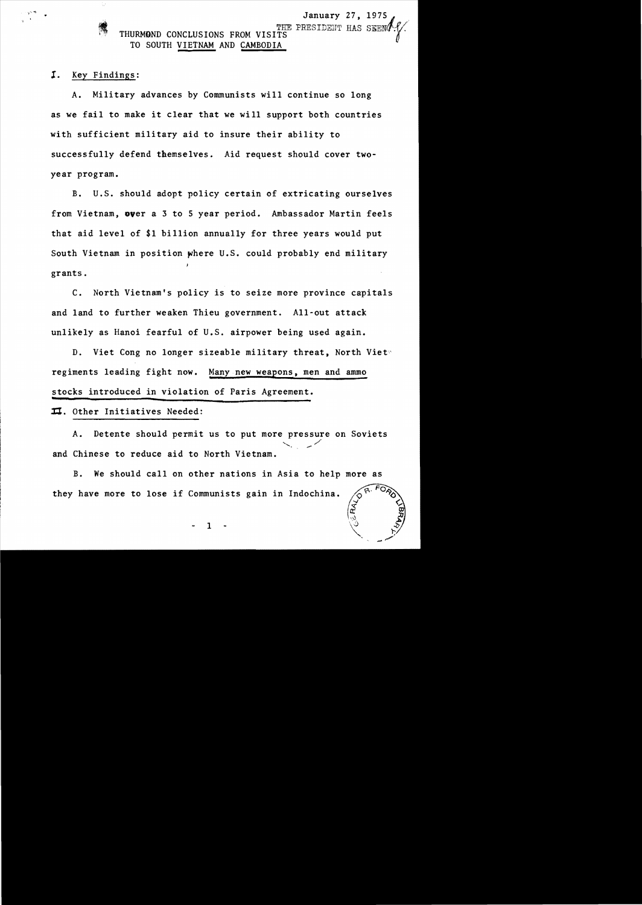*I.* Key Findings:

A. Military advances by Communists will continue so long as we fail to make it clear that we will support both countries with sufficient military aid to insure their ability to successfully defend themselves. Aid request should cover twoyear program.

B. U.S. should adopt policy certain of extricating ourselves from Vietnam, over a 3 to 5 year period. Ambassador Martin feels that aid level of \$1 billion annually for three years would put South Vietnam in position where U.S. could probably end military grants.

C. North Vietnam's policy is to seize more province capitals and land to further weaken Thieu government. All-out attack unlikely as Hanoi fearful of U.S. airpower being used again.

D. Viet Cong no longer sizeable military threat, North Viet regiments leading fight now. Many new weapons, men and ammo stocks introduced in violation of Paris Agreement.

 $\pi$ . Other Initiatives Needed:

A. Detente should permit us to put more pressure on Soviets<br>Chinese to reduce aid to North Vietnam. and Chinese to reduce aid to North Vietnam.

B. We should calIon other nations in Asia to help more as they have more to lose if Communists gain in Indochina. **CRALD**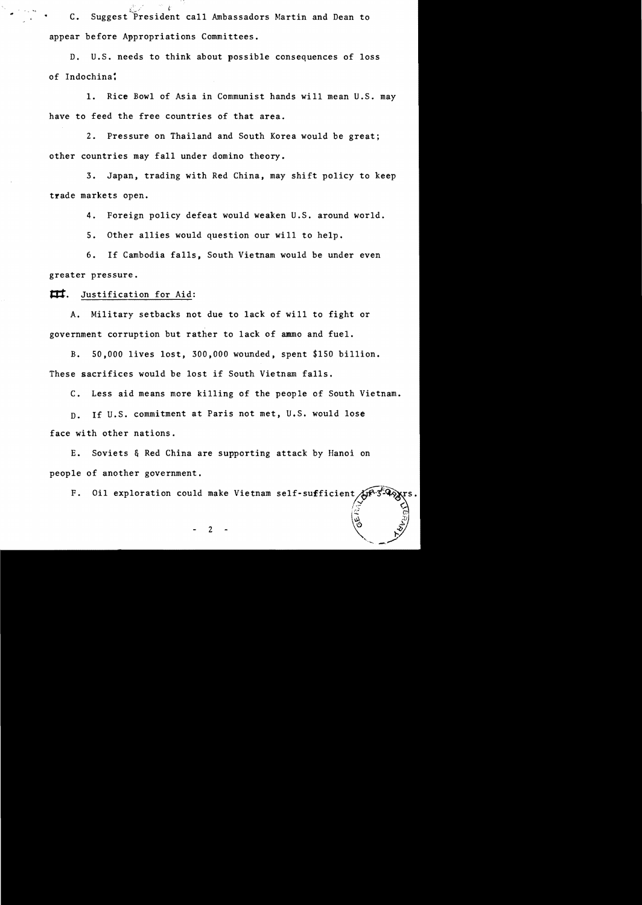$\hat{C}$  · C. Suggest President call Ambassadors Martin and Dean to appear before Appropriations Committees.

D. U.S. needs to think about possible consequences of loss of Indochina:

1. Rice Bowl of Asia in Communist hands will mean U.S. may have to feed the free countries of that area.

2. Pressure on Thailand and South Korea would be great; other countries may fall under domino theory.

3. Japan, trading with Red China, may shift policy to keep trade markets open.

4. Foreign policy defeat would weaken U.S. around world.

5. Other allies would question our will to help.

6. If Cambodia falls, South Vietnam would be under even greater pressure.

**ttt.** Justification for Aid:

A. Military setbacks not due to lack of will to fight or government corruption but rather to lack of ammo and fuel.

B. 50,000 lives lost, 300,000 wounded, spent \$150 billion. These sacrifices would be lost if South Vietnam falls.

C. Less aid means more killing of the people of South Vietnam.

D. If U.S. commitment at Paris not met, U.S. would lose face with other nations.

E. Soviets & Red China are supporting attack by Hanoi on people of another government.

F. Oil exploration could make Vietnam self-sufficient  $\oint$ 

2 -  $\sqrt{2}$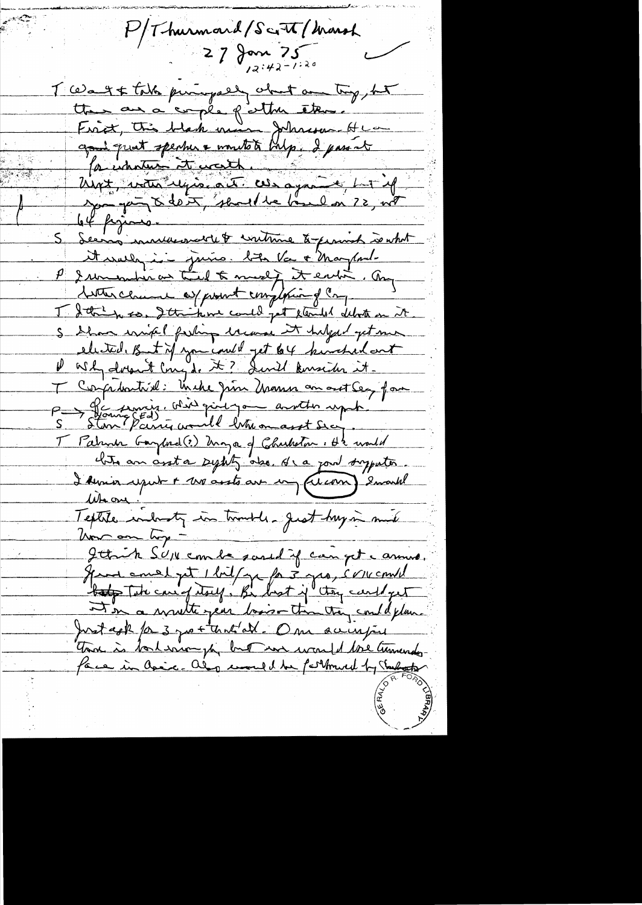P/Thurmoud/Scott/Marsh  $27$  Jan 75 T ce a g & take puringally what are try, but tte ana copée patter étern. Frict, this black man Johnson Hea goud quat sperme a montate bulp. I passat 64 pigeons. Servis murderondtle & continue to promish is what it wally in juine. bits Va + Mayland-P I un much as the of to medi to the ending. any tother class as prount complaint of comp I detre mes, Ittrikme could get cleriled debots on it S Show wife of farling laws it helper get me elected, But if you could get but kinched out Durch dorout Cong de 2? devil konseiter it. T Competitive: Inche Jun Mann an act Sey far P -> G'e sinis. Wir qu'il jou au the upper <u>T Patrick Garphol (?) Maya</u> of Charleston : Ht would hits an art a sylity also, It a joint supporter I Amir uput + mo assts are un (cean) encoule Whave ! Textile industy in transler great huy in much Von om try -Ittick SUN combe sound if can get annua. Have emel pt 1 bill ge fa 3 geo, concerned It in a wrutte year losis-than they could plan. Just coll / a 3 portantal. One sainter Ton is bord error for but was wanted the turnerdy face in Caix. also uned be forthwell by Tarboth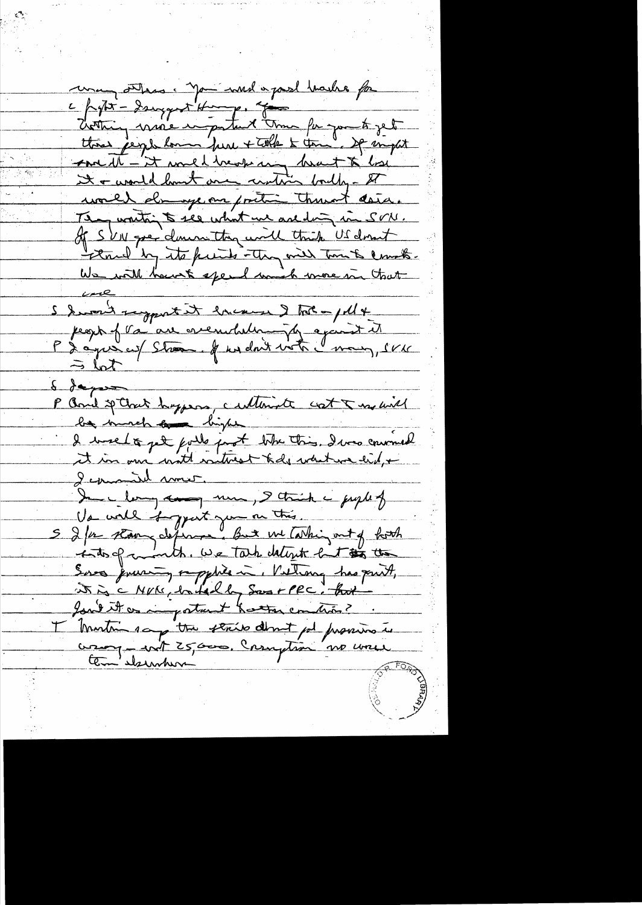una sites: Jan word a past hashe for c popt - dangeret Hunger of The part of the threa people lon fure + tolk & tome. If must <u>anne M-'et mel bennang brut to los</u> It a would hast once centre boulty- It world dange on portion thank data. They wontain to see what we are ding in SON. Of SVN gree clause they will think US don't thered by its funits they will time to count. We will have to spend much more in that I have the emergent that you thought peopt f va au crembalmingty apart it  $\Rightarrow$  lot  $\frac{6}{9}$ P And sp Chat hoppens, culturate cost & moderal be much an bight I uneloge puils just like this. I was convinced I comment mont. In long and me, I think i peoplet Va wall bypart jum on this. S I for stair defense. But we Cashing out of hoth into of month. We take detiret het to the Sures juristy rapplies in Village has part, it is a NUKE, butched by Sos + PRC. that Jone it as important hattar comtrà? I Montin say the strike don't get province in comption no une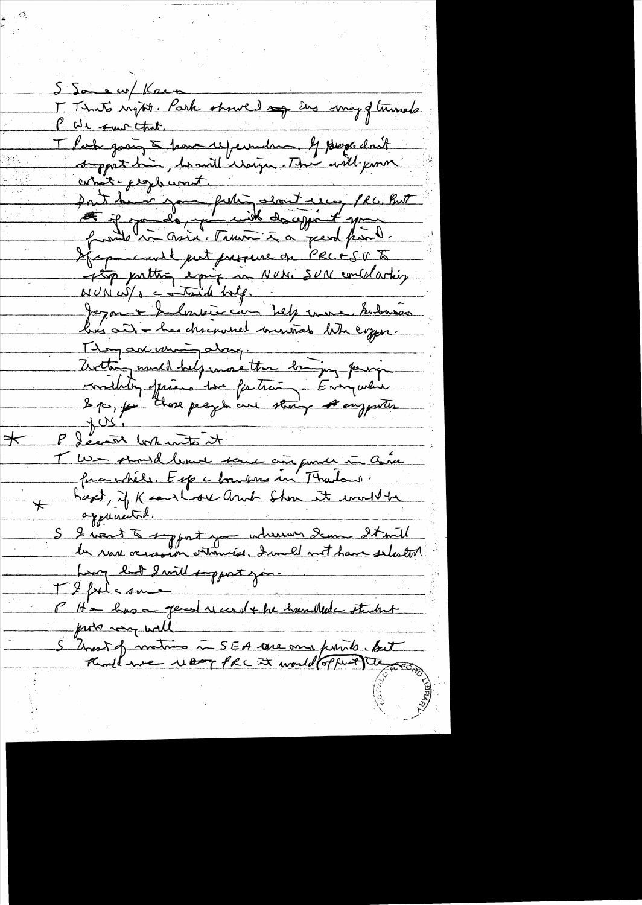S Samew/ Knew I That's ington. Park showed any Eng may of trunch PUL sur that. That going & have reperted by properlant correit - propherment. part de nom person dant une per sont déceptionnel put presence en PRC+SUTS Jezon & Indonesie can help more submain bres au has discrement ministrats le la coyen. Thoman uning along. Zirthing munch help more than bringing powing F decant both anto it<br>T We stand lever some ans power in ance<br>fire while. Esp a bourbons in Thatand.<br>host, if K court of and show it would be<br>appeared. S I went to sypost you wherever dem It will Long luit 2 mil support james TI folic sur P H = has a general record + he hamillede student probe wall S Unest of matrice in SEA are and funits tout